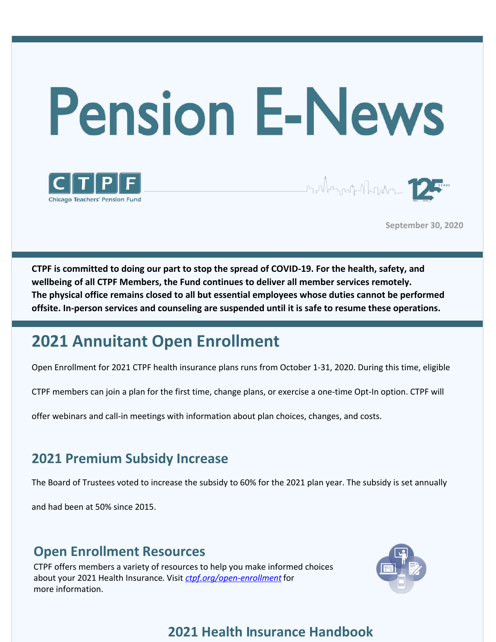



**September 30, 2020**

**CTPF is committed to doing our part to stop the spread of COVID-19. For the health, safety, and wellbeing of all CTPF Members, the Fund continues to deliver all member services remotely. The physical office remains closed to all but essential employees whose duties cannot be performed offsite. In-person services and counseling are suspended until it is safe to resume these operations.**

# **2021 Annuitant Open Enrollment**

Open Enrollment for 2021 CTPF health insurance plans runs from October 1-31, 2020. During this time, eligible

CTPF members can join a plan for the first time, change plans, or exercise a one-time Opt-In option. CTPF will

offer webinars and call-in meetings with information about plan choices, changes, and costs.

### **2021 Premium Subsidy Increase**

The Board of Trustees voted to increase the subsidy to 60% for the 2021 plan year. The subsidy is set annually

and had been at 50% since 2015.

### **Open Enrollment Resources**

CTPF offers members a variety of resources to help you make informed choices about your 2021 Health Insurance. Visit *[ctpf.org/open-enrollment](http://www.ctpf.org/open-enrollment)* for more information.



### **2021 Health Insurance Handbook**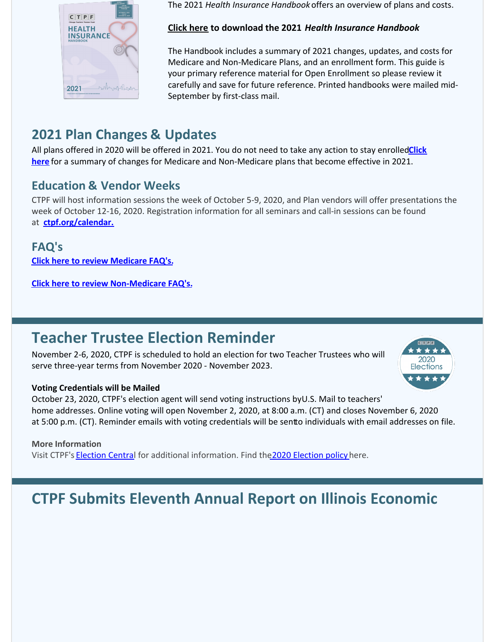

The 2021 *Health Insurance Handbook* offers an overview of plans and costs.

#### **[Click here](https://files.constantcontact.com/7826d993101/c4d22546-8f59-4cd1-a409-82161eb335d4.pdf) to download the 2021** *Health Insurance Handbook*

The Handbook includes a summary of 2021 changes, updates, and costs for Medicare and Non-Medicare Plans, and an enrollment form. This guide is your primary reference material for Open Enrollment so please review it carefully and save for future reference. Printed handbooks were mailed mid-September by first-class mail.

## **2021 Plan Changes & Updates**

All plans offered in 2020 will be offered in 2021. You do not need to take any action to stay enrolled**Click here** for a summary of changes for Medicare and Non-Medicare plans that become effective in 2021.

### **Education & Vendor Weeks**

CTPF will host information sessions the week of October 5-9, 2020, and Plan vendors will offer presentations the week of October 12-16, 2020. Registration information for all seminars and call-in sessions can be found at **[ctpf.org/calendar.](http://ctpf.org/calendar.)**

**FAQ's [Click here to review Medicare FAQ's](https://files.constantcontact.com/7826d993101/bd8b0503-1176-4e35-aad5-597ea382db1a.pdf).**

**[Click here to review Non-Medicare FAQ's](https://files.constantcontact.com/7826d993101/7fa5abb8-6def-4a6f-9189-8632cd6b377f.pdf).**

## **Teacher Trustee Election Reminder**

November 2-6, 2020, CTPF is scheduled to hold an election for two Teacher Trustees who will serve three-year terms from November 2020 - November 2023.



October 23, 2020, CTPF's election agent will send voting instructions by U.S. Mail to teachers' home addresses. Online voting will open November 2, 2020, at 8:00 a.m. (CT) and closes November 6, 2020 at 5:00 p.m. (CT). Reminder emails with voting credentials will be sentto individuals with email addresses on file.

#### **More Information**

Visit CTPF's [Election Centra](https://www.ctpf.org/2020-election-central)l for additional information. Find th[e 2020 Election policy](https://www.ctpf.org/sites/main/files/file-attachments/amended_election_policy_8.21.20_djh.pdf) here.

# **CTPF Submits Eleventh Annual Report on Illinois Economic**

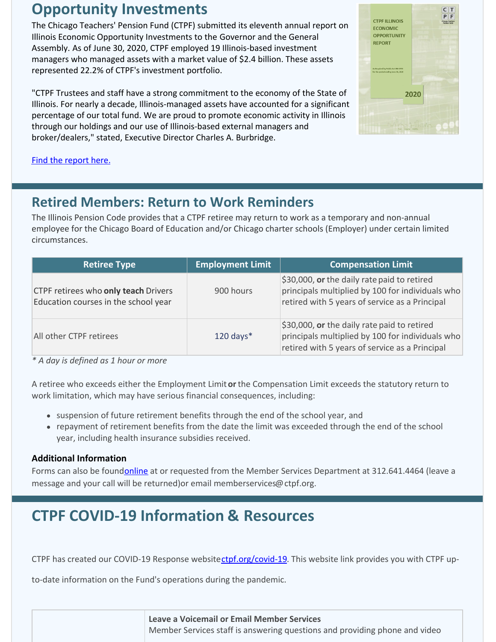## **Opportunity Investments**

The Chicago Teachers' Pension Fund (CTPF) submitted its eleventh annual report on Illinois Economic Opportunity Investments to the Governor and the General Assembly. As of June 30, 2020, CTPF employed 19 Illinois-based investment managers who managed assets with a market value of \$2.4 billion. These assets represented 22.2% of CTPF's investment portfolio.

"CTPF Trustees and staff have a strong commitment to the economy of the State of Illinois. For nearly a decade, Illinois-managed assets have accounted for a significant percentage of our total fund. We are proud to promote economic activity in Illinois through our holdings and our use of Illinois-based external managers and broker/dealers," stated, Executive Director Charles A. Burbridge.



[Find the report here.](https://www.ctpf.org/sites/main/files/file-attachments/2020_ctpf_illinois_economic_report__0_0.pdf)

### **Retired Members: Return to Work Reminders**

The Illinois Pension Code provides that a CTPF retiree may return to work as a temporary and non-annual employee for the Chicago Board of Education and/or Chicago charter schools (Employer) under certain limited circumstances.

| <b>Retiree Type</b>                                                                 | <b>Employment Limit</b> | <b>Compensation Limit</b>                                                                                                                         |
|-------------------------------------------------------------------------------------|-------------------------|---------------------------------------------------------------------------------------------------------------------------------------------------|
| <b>CTPF retirees who only teach Drivers</b><br>Education courses in the school year | 900 hours               | \$30,000, or the daily rate paid to retired<br>principals multiplied by 100 for individuals who<br>retired with 5 years of service as a Principal |
| All other CTPF retirees                                                             | $120$ days*             | \$30,000, or the daily rate paid to retired<br>principals multiplied by 100 for individuals who<br>retired with 5 years of service as a Principal |

*\* A day is defined as 1 hour or more*

A retiree who exceeds either the Employment Limit **or** the Compensation Limit exceeds the statutory return to work limitation, which may have serious financial consequences, including:

- suspension of future retirement benefits through the end of the school year, and
- repayment of retirement benefits from the date the limit was exceeded through the end of the school year, including health insurance subsidies received.

#### **Additional Information**

Forms can also be foundonline at or requested from the Member Services Department at 312.641.4464 (leave a message and your call will be returned)or email memberservices@ctpf.org.

# **CTPF COVID-19 Information & Resources**

CTPF has created our COVID-19 Response websitectpf.org/covid-19. This website link provides you with CTPF up-

to-date information on the Fund's operations during the pandemic.

| <b>Leave a Voicemail or Email Member Services</b>                          |  |  |
|----------------------------------------------------------------------------|--|--|
| Member Services staff is answering questions and providing phone and video |  |  |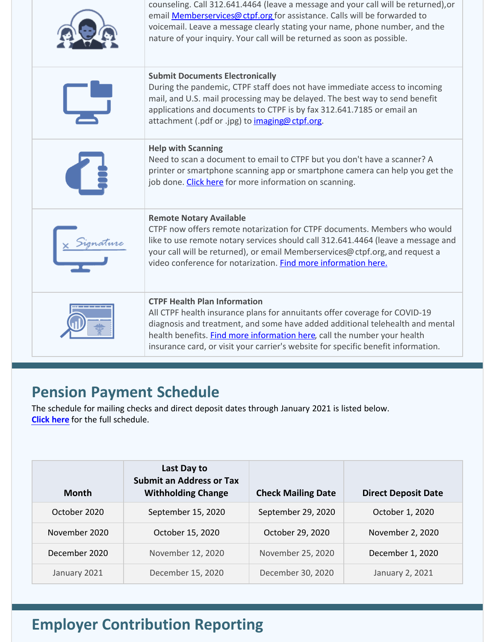| counseling. Call 312.641.4464 (leave a message and your call will be returned), or<br>email <b>Memberservices@ ctpf.org</b> for assistance. Calls will be forwarded to<br>voicemail. Leave a message clearly stating your name, phone number, and the<br>nature of your inquiry. Your call will be returned as soon as possible.                                    |
|---------------------------------------------------------------------------------------------------------------------------------------------------------------------------------------------------------------------------------------------------------------------------------------------------------------------------------------------------------------------|
| <b>Submit Documents Electronically</b><br>During the pandemic, CTPF staff does not have immediate access to incoming<br>mail, and U.S. mail processing may be delayed. The best way to send benefit<br>applications and documents to CTPF is by fax 312.641.7185 or email an<br>attachment (.pdf or .jpg) to imaging@ctpf.org.                                      |
| <b>Help with Scanning</b><br>Need to scan a document to email to CTPF but you don't have a scanner? A<br>printer or smartphone scanning app or smartphone camera can help you get the<br>job done. Click here for more information on scanning.                                                                                                                     |
| <b>Remote Notary Available</b><br>CTPF now offers remote notarization for CTPF documents. Members who would<br>like to use remote notary services should call 312.641.4464 (leave a message and<br>your call will be returned), or email Memberservices@ctpf.org, and request a<br>video conference for notarization. Find more information here.                   |
| <b>CTPF Health Plan Information</b><br>All CTPF health insurance plans for annuitants offer coverage for COVID-19<br>diagnosis and treatment, and some have added additional telehealth and mental<br>health benefits. Find more information here, call the number your health<br>insurance card, or visit your carrier's website for specific benefit information. |

## **Pension Payment Schedule**

The schedule for mailing checks and direct deposit dates through January 2021 is listed below. **[Click here](https://www.ctpf.org/pension-payments)** for the full schedule.

| <b>Month</b>  | Last Day to<br><b>Submit an Address or Tax</b><br><b>Withholding Change</b> | <b>Check Mailing Date</b> | <b>Direct Deposit Date</b> |
|---------------|-----------------------------------------------------------------------------|---------------------------|----------------------------|
| October 2020  | September 15, 2020                                                          | September 29, 2020        | October 1, 2020            |
| November 2020 | October 15, 2020                                                            | October 29, 2020          | November 2, 2020           |
| December 2020 | November 12, 2020                                                           | November 25, 2020         | December 1, 2020           |
| January 2021  | December 15, 2020                                                           | December 30, 2020         | January 2, 2021            |

# **Employer Contribution Reporting**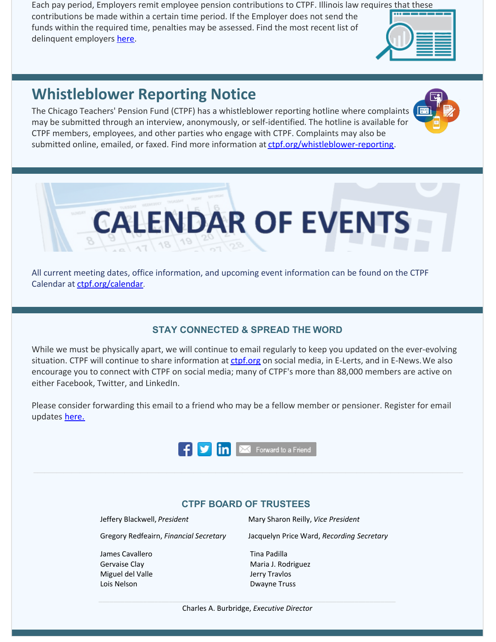Each pay period, Employers remit employee pension contributions to CTPF. Illinois law requires that these

contributions be made within a certain time period. If the Employer does not send the funds within the required time, penalties may be assessed. Find the most recent list of delinquent employers [here](http://ctpf.org/employer-contribution-reporting).

## **Whistleblower Reporting Notice**

The Chicago Teachers' Pension Fund (CTPF) has a whistleblower reporting hotline where complaints may be submitted through an interview, anonymously, or self-identified. The hotline is available for CTPF members, employees, and other parties who engage with CTPF. Complaints may also be submitted online, emailed, or faxed. Find more information at [ctpf.org/whistleblower-reporting](http://ctpf.org/whistleblower-reporting).



**CALENDAR OF EVENTS** 

Calendar at [ctpf.org/calendar](http://www.ctpf.org/calendar).

#### **STAY CONNECTED & SPREAD THE WORD**

While we must be physically apart, we will continue to email regularly to keep you updated on the ever-evolving situation. CTPF will continue to share information at [ctpf.org](http://ctpf.org) on social media, in E-Lerts, and in E-News. We also encourage you to connect with CTPF on social media; many of CTPF's more than 88,000 members are active on either Facebook, Twitter, and LinkedIn.

Please consider forwarding this email to a friend who may be a fellow member or pensioner. Register for email updates [here.](https://www.ctpf.org/)



#### **CTPF BOARD OF TRUSTEES**

Jeffery Blackwell, *President* Mary Sharon Reilly, *Vice President*

Gregory Redfeairn, *Financial Secretary* Jacquelyn Price Ward, *Recording Secretary*

James Cavallero Gervaise Clay Miguel del Valle Lois Nelson

Tina Padilla Maria J. Rodriguez Jerry Travlos Dwayne Truss

Charles A. Burbridge, *Executive Director*